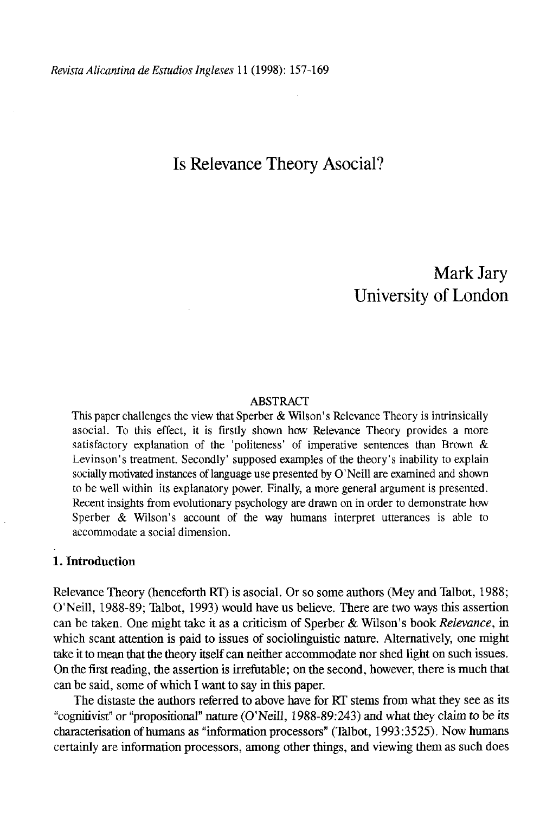# Is Relevance Theory Asocial?

# Mark Jary University of London

#### ABSTRACT

This paper challenges the view that Sperber & Wilson's Relevance Theory is intrinsically asocial. To this effect, it is firstly shown how Relevance Theory provides a more satisfactory explanation of the 'politeness' of imperative sentences than Brown & Levinson's treatment. Secondly' supposed examples of the theory's inability to explain socially motivated instances of language use presented by O'Neill are examined and shown to be well within its explanatory power. Finally, a more general argument is presented. Recent insights from evolutionary psychology are drawn on in order to demonstrate how Sperber & Wilson's account of the way humans interpret utterances is able to accommodate a social dimensión.

# **1. Introduction**

Relevance Theory (henceforth RT) is asocial. Or so some authors (Mey and Talbot, 1988; O'Neill, 1988-89; Talbot, 1993) would have us believe. There are two ways this assertion can be taken. One might take it as a criticism of Sperber & Wilson's book *Relevance,* in which scant attention is paid to issues of sociolinguistic nature. Alternatively, one might take it to mean that the theory itself can neither accommodate ñor shed light on such issues. On the first reading, the assertion is irrefutable; on the second, however, there is much that can be said, some of which I want to say in this paper.

The distaste the authors referred to above have for RT stems from what they see as its "cognitivist" or "propositional" nature (O'Neill, 1988-89:243) and what they claim to be its characterisation of humans as "information processors" (Talbot, 1993:3525). Now humans certainly are information processors, among other things, and viewing them as such does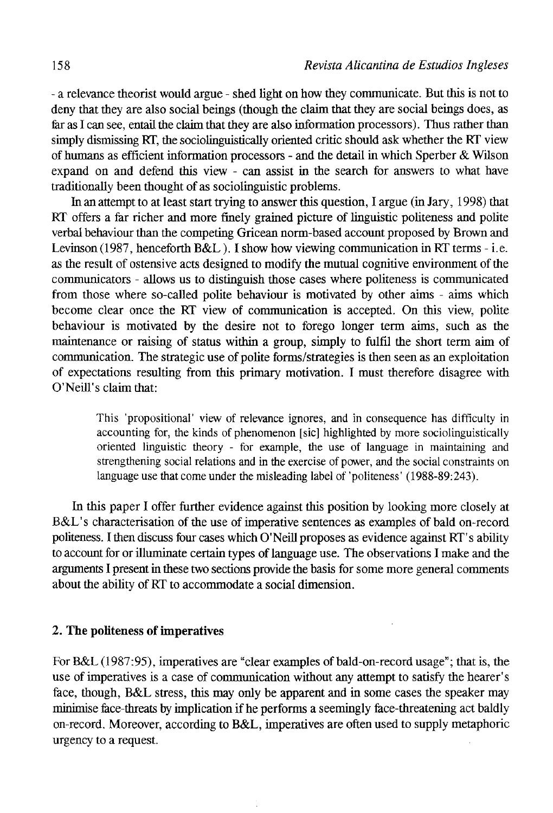- a relevance theorist would argue - shed light on how they communicate. But this is not to deny that they are also social beings (though the claim that they are social beings does, as far as I can see, entail the claim that they are also information processors). Thus rather than simply dismissing RT, the sociolinguistically oriented critic should ask whether the RT view of humans as efficient information processors - and the detail in which Sperber & Wilson expand on and defend tbis view - can assist in the search for answers to what have traditionally been thought of as sociolinguistic problems.

In an attempt to at least start trying to answer this question, I argue (in Jary, 1998) that RT offers a far richer and more finely grained picture of linguistic politeness and polite verbal behaviour than the competing Gricean norm-based account proposed by Brown and Levinson (1987, henceforth B&L). I show how viewing communication in RT terms - i.e. as the result of ostensive acts designed to modify the mutual cognitive environment of the communicators - allows us to distinguish those cases where politeness is communicated from those where so-called polite behaviour is motivated by other aims - aims which become clear once the RT view of communication is accepted. On this view, polite behaviour is motivated by the desire not to forego longer term aims, such as the maintenance or raising of status within a group, simply to fulfil the short term aim of communication. The strategic use of polite forms/strategies is then seen as an exploitation of expectations resulting from this primary motivation. I must therefore disagree with O'Neill's claim that:

This 'propositional' view of relevance ignores, and in consequence has difficulty in accounting for, the kinds of phenomenon [sic] highlighted by more sociolinguistically oriented linguistic theory - for example, the use of language in maintaining and strengthening social relations and in the exercise of power, and the social constraints on language use that come under the misleading label of 'politeness' (1988-89:243).

In this paper I offer further evidence against this position by looking more closely at B&L's characterisation of the use of imperative sentences as examples of bald on-record poüteness. I then discuss four cases which O'Neill proposes as evidence against RT' s ability to account for or illuminate certain types of language use. The observations I make and the arguments I present in these two sections provide the basis for some more general comments about the ability of RT to accommodate a social dimensión.

# 2. **The politeness of imperatives**

For B&L (1987:95), imperatives are "clear examples of bald-on-record usage"; that is, the use of imperatives is a case of communication without any attempt to satisfy the hearer's face, though, B&L stress, this may only be apparent and in some cases the speaker may minimise face-threats by implication if he performs a seemingly face-threatening act baldly on-record. Moreover, according to B&L, imperatives are often used to supply metaphoric urgency to a request.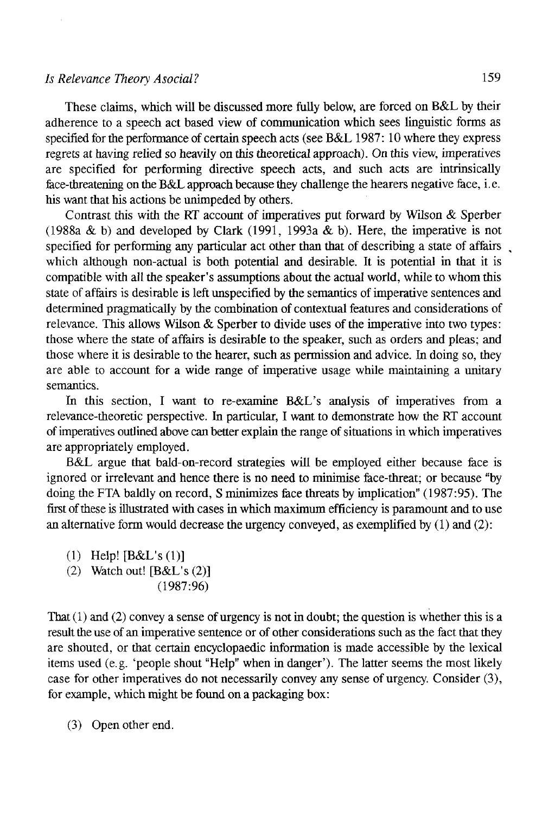## *Is Relevance Theory Asocial?* 159

These claims, which will be discussed more ftilly below, are forced on B&L by their adherence to a speech act based view of communication which sees linguistic forros as specified for the performance of certain speech acts (see B&L 1987: 10 where they express regrets at having relied so heavily on this theoretical approach). On this view, imperatives are specified for performing directive speech acts, and such acts are intrinsically face-threatening on the B&L approach because they challenge the hearers negative face, i. e. bis want that his actions be unimpeded by others.

Contrast this with the RT account of imperatives put forward by Wilson & Sperber (1988a & b) and developed by Clark (1991, 1993a & b). Here, the imperative is not specified for performing any particular act other than that of describing a state of affairs which although non-actual is both potential and desirable. It is potential in that it is compatible with all the speaker's assumptions about the actual world, while to whom this state of affairs is desirable is left unspecified by the semantics of imperative sentences and determined pragmatically by the combination of contextual features and considerations of relevance. This allows Wilson & Sperber to divide uses of the imperative into two types: those where the state of affairs is desirable to the speaker, such as orders and pleas; and those where it is desirable to the hearer, such as permission and advice. In doing so, they are able to account for a wide range of imperative usage while mamtaining a unitary semantics.

In this section, I want to re-examine B&L's analysis of imperatives from a relevance-theoretic perspective. In particular, I want to demónstrate how the RT account of imperatives outlined above can better explain the range of situations in which imperatives are appropriately employed.

B&L argüe that bald-on-record strategies will be employed either because face is ignored or irrelevant and henee there is no need to minimise face-threat; or because "by doing the FTA baldly on record, S minimizes face threats by implication" (1987:95). The first of these is illustrated with cases in which maximum efficiency is paramount and to use an alternative form would decrease the urgency conveyed, as exemplified by  $(1)$  and  $(2)$ :

- (1) Help! [B&L's (1)]
- (2) Watch out! [B&L's (2)]
	- (1987:96)

That  $(1)$  and  $(2)$  convey a sense of urgency is not in doubt; the question is whether this is a result the use of an imperative sentence or of other considerations such as the fact that they are shouted, or that certain encyclopaedic information is made accessible by the lexical items used (e.g. 'people shout "Help" when in danger'). The latter seems the most likely case for other imperatives do not necessarily convey any sense of urgeney. Consider (3), for example, which might be found on a packaging box:

(3) Open other end.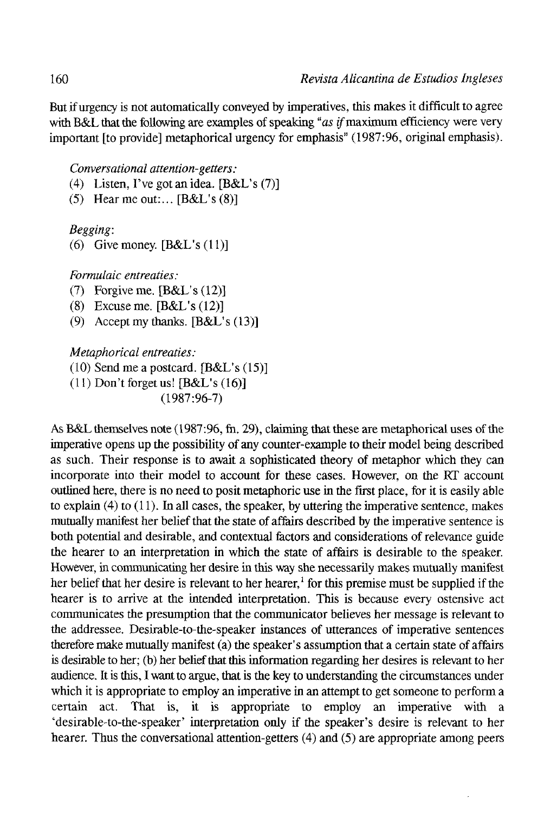But if urgency is not automatically conveyed by imperatives, this raakes it difficult to agree with B&L that the following are examples of speaking "as *if* maximum efficiency were very important [to provide] metaphorical urgency for emphasis" (1987:96, original emphasis).

*Conversational attention-getters:* 

- (4) Listen, Tve got an idea. [B&L's (7)]
- (5) Hear me out:...  $[B&L's(8)]$

*Begging:* 

(6) Give money.  $[B&L's(11)]$ 

*Formulaic entreaties:* 

- (7) Forgive me. [B&L's (12)]
- (8) Excuse me. [B&L's (12)]
- (9) Accept my thanks. [B&L's (13)]

*Metaphorical entreaties:* 

```
(10) Send me a posteard. [B&L's (15)]
```
(11) Don't forgetus! [B&L's (16)]

(1987:96-7)

As B&L themselves note (1987:96, fh. 29), claiming that these are metaphorical uses of the imperative opens up the possibility of any counter-example to their model being described as such. Their response is to await a sophisticated theory of metaphor which they can incorpórate into their model to account for these cases. However, on the RT account outlined here, there is no need to posit metaphoric use in the first place, for it is easily able to explain  $(4)$  to  $(11)$ . In all cases, the speaker, by uttering the imperative sentence, makes mutually manifest her belief that the state of affairs described by the imperative sentence is both potential and desirable, and contextual factors and considerations of relevance guide the hearer to an interpretation in which the state of affairs is desirable to the speaker. However, in communicating her desire in this way she necessarily makes mutually manifest her belief that her desire is relevant to her hearer,<sup>1</sup> for this premise must be supplied if the hearer is to arrive at the intended interpretation. This is because every ostensive act communicates the presumption that the communicator beüeves her message is relevant to the addressee. Desirable-to-the-speaker instances of utterances of imperative sentences therefore make mutually manifest (a) the speaker' s assumption that a certain state of affairs is desirable to her; (b) her belief that this information regarding her desires is relevant to her audience. It is this, I want to argüe, that is the key to understanding the circumstances under which it is appropriate to employ an imperative in an attempt to get someone to perform a certain act. That is, it is appropriate to employ an imperative with a 'desirable-to-the-speaker' interpretation only if the speaker's desire is relevant to her hearer. Thus the conversational attention-getters (4) and (5) are appropriate among peers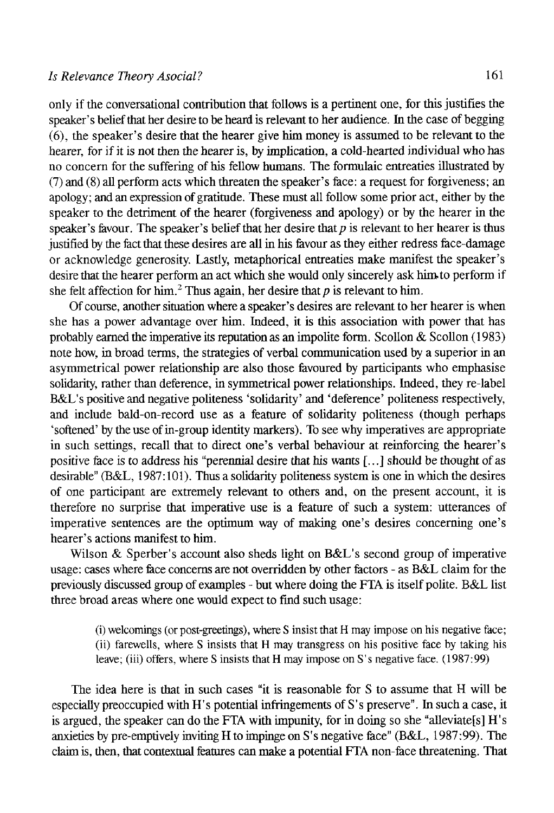only if the conversational contribution that follows is a pertinent one, for this justifies the speaker's belief that her desire to be heard is relevant to her audience. In the case of begging (6), the speaker's desire that the hearer give him money is assumed to be relevant to the hearer, for if it is not then the hearer is, by implication, a cold-hearted individual who has no concern for the suffering of his fellow humans. The formulaic entreaties illustrated by (7) and (8) all perform acts which threaten the speaker's face: a request for forgiveness; an apology; and an expression of gratitude. These musí all follow some prior act, either by the speaker to the detriment of the hearer (forgiveness and apology) or by the hearer in the speaker's favour. The speaker's belief that her desire that  $p$  is relevant to her hearer is thus justiñed by the fact that these desires are all in his favour as they either redress face-damage or acknowledge generosity. Lastly, metaphorical entreaties make manifest the speaker's desire that the hearer perform an act which she would only sincerely ask him-to perform if she felt affection for him.<sup>2</sup> Thus again, her desire that p is relevant to him.

Of course, another situation where a speaker's desires are relevant to her hearer is when she has a power advantage over him. Indeed, it is this association with power that has probably earned the imperative its reputation as an impolite form. Scollon & Scollon (1983) note how, in broad terms, the strategies of verbal communication used by a superior in an asymmetrical power relationship are also those favoured by participants who emphasise solidarity, rather than deference, in symmetrical power relationships. Indeed, they re-label B&L's positive and negative politeness 'solidarity' and 'deference' politeness respectively, and include bald-on-record use as a feature of soüdarity politeness (though perhaps 'softened' by the use of in-group identity markers). To see why imperatives are appropriate in such settings, recall that to direct one's verbal behaviour at reinforcing the hearer's positive face is to address his "perennial desire that his wants [...] should be thought of as desirable" (B&L, 1987:101). Thus a soüdarity politeness system is one in which the desires of one participant are extremely relevant to others and, on the present account, it is therefore no surprise that imperative use is a feature of such a system: utterances of imperative sentences are the optimum way of making one's desires concerning one's hearer's actions manifest to him.

Wilson & Sperber's account also sheds light on B&L's second group of imperative usage: cases where face concerns are not overridden by other factors - as B&L claim for the previously discussed group of examples - but where doing the FTA is itself polite. B&L list three broad áreas where one would expect to fínd such usage:

(i) welcomings (or post-greetings), where S insist that H may impose on his negative face; (ii) farewells, where S insists that H may transgress on his positive face by taking his leave; (iii) offers, where S insists that H may impose on S's negative face. (1987:99)

The idea here is that in such cases "it is reasonable for S to assume that H will be especially preoccupied with H's potential infringements of S's preserve". In such a case, it is argued, the speaker can do the FTA with impunity, for in doing so she "alleviate [s]  $H$ 's anxieties by pre-emptively inviting H to impinge on S's negative face" (B&L, 1987:99). The claim is, then, that contextual features can make a potential FTA non-face threatening. That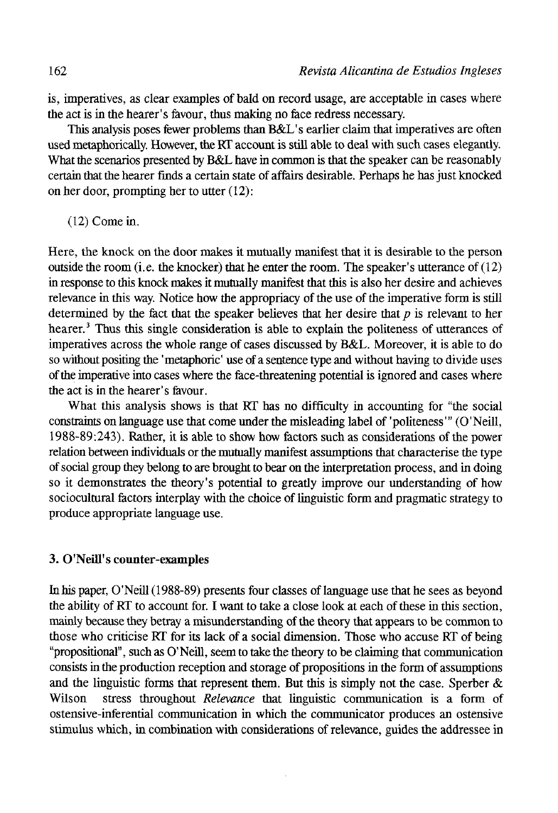is, imperatives, as clear examples of bald on record usage, are acceptable in cases where the act is in the hearer's favour, thus making no face redress necessary.

This analysis poses fewer problems than B&L's earlier claim that imperatives are often used metaphorically. However, the RT account is still able to deal with such cases elegantly. What the scenarios presented by B&L have in common is that the speaker can be reasonably certain that the hearer fínds a certain state of affairs desirable. Perhaps he has just knocked on her door, prompting her to utter (12):

(12) Come in.

Here, the knock on the door makes it mutually manifest that it is desirable to the person outside the room (i.e. the knocker) that he enter the room. The speaker's utterance of  $(12)$ in response to this knock makes it mutually manifest that this is also her desire and achieves relevance in this way. Notice how the appropriacy of the use of the imperative form is still determined by the fact that the speaker believes that her desire that  $p$  is relevant to her hearer.<sup>3</sup> Thus this single consideration is able to explain the politeness of utterances of imperatives across the whole range of cases discussed by B&L. Moreover, it is able to do so without positing the 'metaphoric' use of a sentence type and without having to divide uses of the imperative into cases where the face-threatening potential is ignored and cases where the act is in the hearer's favour.

What this analysis shows is that RT has no difficulty in accounting for "the social constraints on language use that come under the misleading label of 'politeness'" (O'Neill, 1988-89:243). Rather, it is able to show how factors such as considerations of the power relation between individuáis or the mutually manifest assumptions that characterise the type of social group they belong to are brought to bear on the interpretation process, and in doing so it demonstrates the theory's potential to greatly improve our understanding of how sociocultural factors interplay with the choice of linguistic form and pragmatic strategy to produce appropriate language use.

#### 3. O'Neill's counter-examples

In his paper, O'Neill (1988-89) presents four classes of language use that he sees as beyond the ability of RT to account for. I want to take a cióse look at each of these in this section, mainly because they betray a misunderstanding of the theory that appears to be common to those who criticise RT for its lack of a social dimensión. Those who accuse RT of being "propositional", such as O'Neill, seem to take the theory to be claiming that communication consists in the production reception and storage of propositions in the form of assumptions and the linguistic forms that represent them. But this is simply not the case. Sperber  $\&$ Wilson stress throughout *Relevance* that linguistic communication is a form of ostensive-inferential communication in which the communicator produces an ostensive stimulus which, in combination with considerations of relevance, guides the addressee in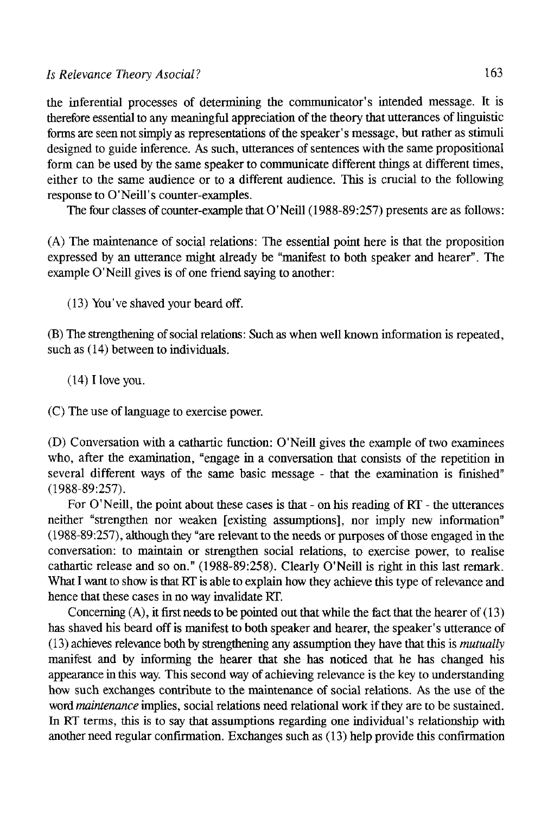the inferential processes of determining the communicator's intended message. It is therefore essential to any meaningful appreciation of the theory that utterances of linguistic forms are seen not simply as representations of the speaker' s message, but rather as stimuli designed to guide inference. As such, utterances of sentences with the same propositional form can be used by the same speaker to communicate different things at different times, either to the same audience or to a different audience. This is crucial to the following response to O'Neill's counter-examples.

The four classes of counter-example that O'Neill (1988-89:257) presents are as follows:

(A) The maintenance of social relations: The essential point here is that the proposition expressed by an utterance might already be "manifest to both speaker and hearer". The example O'Neill gives is of one friend saying to another:

(13) You've shaved your beard off.

(B) The strengthening of social relations: Suchas when well known information is repeated, such as  $(14)$  between to individuals.

 $(14)$  I love you.

(C) The use of language to exercise power.

(D) Conversation with a cathartic function: O'Neill gives the example of two examinees who, after the examination, "engage in a conversation that consists of the repetition in several different ways of the same basic message - that the examination is finished" (1988-89:257).

For O'Neill, the point about these cases is that - on his reading of RT - the utterances neither "strengthen ñor weaken [existing assumptions], ñor imply new information" (1988-89:257), althoughthey "are relevantto the needs or purposes of those engaged in the conversation: to maintain or strengthen social relations, to exercise power, to realise cathartic release and so on." (1988-89:258). Clearly O'Neill is right in this last remark. What I want to show is that RT is able to explain how they achieve this type of relevance and henee that these cases in no way invalídate RT.

Concerning (A), it first needs to be pointed out that while the fact that the hearer of (13) has shaved his beard off is manifest to both speaker and hearer, the speaker's utterance of (13) achieves relevance both by strengthening any assumption they have that this is *mutually*  manifest and by informing the hearer that she has noticed that he has changed his appearance in this way. This second way of achieving relevance is the key to understanding how such exchanges contribute to the maintenance of social relations. As the use of the word *maintenance* implies, social relations need relational work if they are to be sustained. In RT terms, this is to say that assumptions regarding one individual's relationship with another need regular confirmation. Exchanges such as (13) help provide this confirmation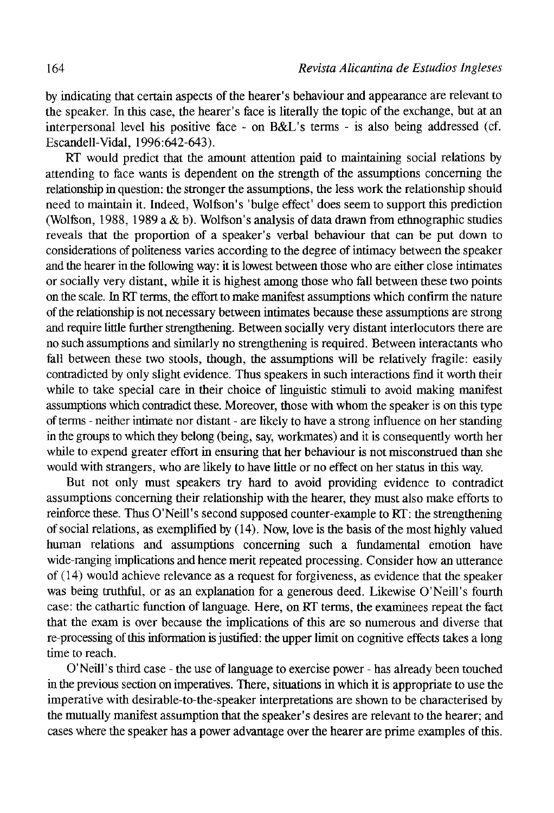by indicaüng that certain aspects of the hearer's behaviour and appearance are relevant to the speaker. In this case, the hearer's face is literally the topic of the exchange, but at an interpersonal level bis positive face - on B&L's térras - is also being addressed (cf. Escandell-Vidal, 1996:642-643).

RT would predict that the amount attention paid to maintaining social relations by attending to face wants is dependent on the strength of the assumptions concerning the relationship in question: the stronger the assumptions, the less work the relationship should need to maintain it. Indeed, Wolfson's 'bulge effect' does seem to support this prediction (Wolfson, 1988, 1989 a & b). Wolfson's analysis of data drawn from ethnographic studies reveáis that the proportion of a speaker's verbal behaviour that can be put down to considerations of politeness varíes according to the degree of intimacy between the speaker and the hearer in the following way: it is lowest between those who are either cióse intimates or socially very distant, while it is highest among those who fall between these two points on the scale. In RT terms, the effort to make manifest assumptions which confirm the nature of the relationship is not necessary between intimates because these assumptions are strong and require litíle further strengthening. Between socially very distant interlocutors there are no such assumptions and similarly no strengthening is required. Between interactants who fall between these two stools, though, the assumptions will be relatively fragile: easily contradicted by only slight evidence. Thus speakers in such interactions find it worth their while to take special care in their choice of linguistic stimuli to avoid making manifest assumptions which contradict these. Moreover, those with whom the speaker is on this type of terms - neither intímate ñor distant - are likely to nave a strong influence on her standing in the groups to which they belong (being, say, workmates) and it is consequently worth her while to expend greater effort in ensuring that her behaviour is not misconstrued than she would with strangers, who are likely to have little or no effect on her status in this way.

But not only must speakers try hard to avoid providing evidence to contradict assumptions concerning their relationship with the hearer, they must also make efforts to reinforce these. Thus O'Neill's second supposed counter-example to RT: the strengthening of social relations, as exemplified by (14). Now, love is the basis of the mosthighly valued human relations and assumptions concerning such a fundamental emotion have wide-ranging implications and hence merit repeated processing. Consider how an utterance of (14) would achieve relevance as a request for forgiveness, as evidence that the speaker was being truthful, or as an explanation for a generous deed. Likewise O'Neill's fourth case: the cathartic function of language. Here, on RT terms, the examinees repeatthe fact that the exam is over because the implications of this are so numerous and diverse that re-processing of this information is justified: the upper limit on cognitive effeets takes a long time to reach.

O'Neill's third case - the use of language to exercise power - has already been touched in the previous section on imperatives. There, situations in which it is appropriate to use the imperative with desirable-to-the-speaker interpretations are shown to be characterised by the mutually manifest assumption that the speaker's desires are relevant to the hearer; and cases where the speaker has a power advantage over the hearer are prime examples of this.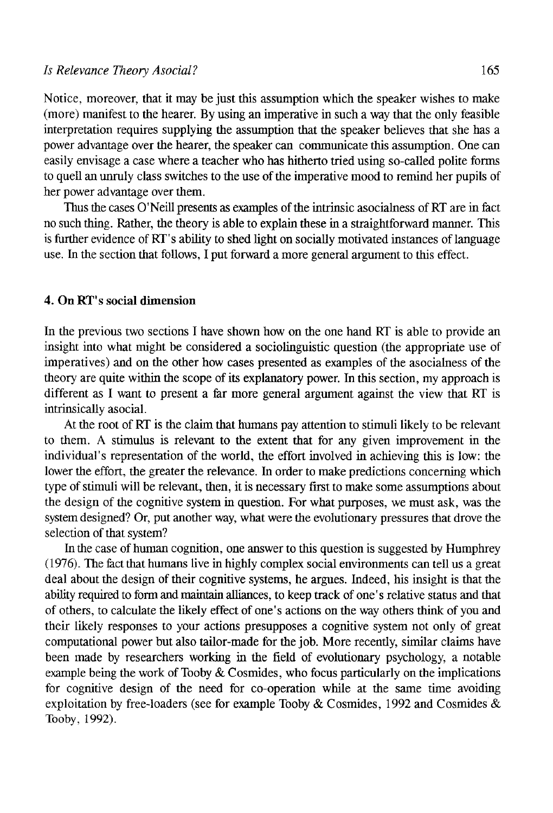Notice, moreover, that it raay be just this assumption which the speaker wishes to make (more) manifest to the hearer. By using an imperative in such a way that the only feasible interpretation requires supplying the assumption that the speaker believes that she has a power advantage over the hearer, the speaker can communicate this assumption. One can easily envisage a case where a teacher who has hitherto tried using so-called polite forms to quell an unruly class switches to the use of the imperative mood to remind her pupils of her power advantage over them.

Thus the cases O'Neill presents as examples of the intrinsic asocialness of RT are in fact no such thing. Rather, the theory is able to explain these in a straightforward manner. This is further evidence of RT' s ability to shed light on socially motivated instances of language use. In the section that follows, I put forward a more general argument to this effect.

#### 4. OnRT's social dimensión

In the previous two sections I have shown how on the one hand RT is able to provide an insight into what might be considered a sociolinguistic question (the appropriate use of imperatives) and on the other how cases presented as examples of the asocialness of the theory are quite within the scope of its explanatory power. In this section, my approach is different as I want to present a far more general argument against the view that RT is intrinsically asocial.

At the root of RT is the claim that humans pay attention to stimuli likely to be relevant to them. A stimulus is relevant to the extent that for any given improvement in the individual's representation of the world, the effort involved in achieving this is íow: the lower the effort, the greater the relevance. In order to make predictions concerning which type of stimuli will be relevant, then, it is necessary first to make some assumptions about the design of the cognitive system in question. For what purposes, we must ask, was the system designed? Or, put another way, what were the evolutionary pressures that drove the selection of that system?

In the case of human cognition, one answer to this question is suggested by Humphrey (1976). The fact that humans live in highly complex social environments can tell us a great deal about the design of their cognitive systems, he argües. Indeed, his insight is that the ability required to form and maintain alliances, to keep track of one's relative status and that of others, to calcúlate the likely effect of one' s actions on the way others think of you and their likely responses to your actions presupposes a cognitive system not only of great computational power but also tailor-made for the job. More recently, similar claims have been made by researchers working in the field of evolutionary psychology, a notable example being the work of Tooby & Cosmides, who focus particularly on the implications for cognitive design of the need for co-operation while at the same time avoiding exploitation by free-loaders (see for example Tooby & Cosmides, 1992 and Cosmides & Tooby, 1992).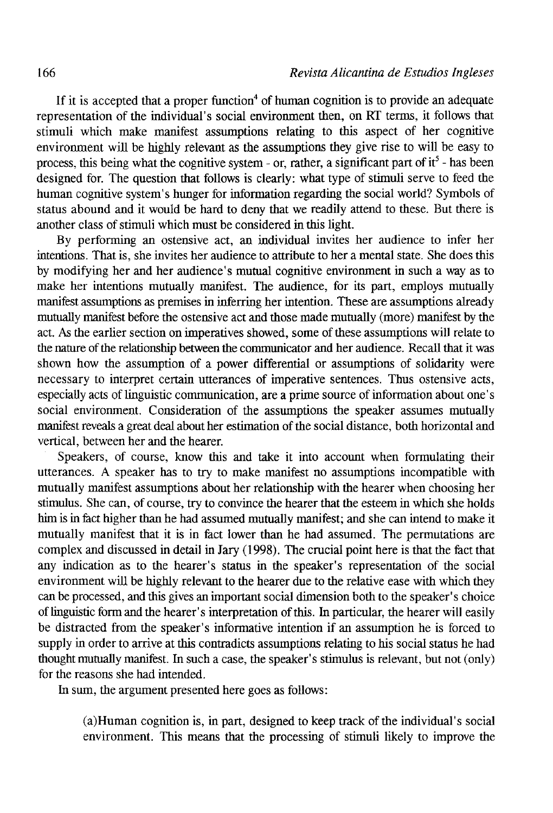If it is accepted that a proper function<sup>4</sup> of human cognition is to provide an adequate representation of the individual's social environment then, on RT terms, it follows that stimuli which make manifest assumptions relating to this aspect of her cognitive environment will be highly relevant as the assumptions they give rise to will be easy to process, this being what the cognitive system - or, rather, a significant part of  $it<sup>5</sup>$  - has been designed for. The question that follows is clearly: what type of stimuli serve to feed the human cognitive system's hunger for information regarding the social world? Symbols of status abound and it would be hard to deny that we readily attend to these. But there is another class of stimuli which must be considered in this light.

By performing an ostensive act, an individual invites her audience to infer her intentions. That is, she invites her audience to attribute to her a mental state. She does this by modifying her and her audience's mutual cognitive environment in such a way as to make her intentions mutually manifest. The audience, for its part, employs mutually manifest assumptions as premises in inferring her intention. These are assumptions already mutually manifest before the ostensive act and those made mutually (more) manifest by the act. As the earlier section on imperatives showed, some of these assumptions will relate to the nature of the relationship between the communicator and her audience. Recall that it was shown how the assumption of a power differential or assumptions of solidarity were necessary to interpret certain utterances of imperative sentences. Thus ostensive acts, especially acts of linguistic communication, are a prime source of information about one's social environment. Consideration of the assumptions the speaker assumes mutually manifest reveáis a great deal about her estimation of the social distance, both horizontal and vertical, between her and the hearer.

Speakers, of course, know this and take it into account when formulating their utterances. A speaker has to try to make manifest no assumptions incompatible with mutually manifest assumptions about her relationship with the hearer when choosing her stimulus. She can, of course, try to convince the hearer that the esteem in which she holds him is in fect higher than he had assumed mutually manifest; and she can intend to make it mutually manifest that it is in fact lower than he had assumed. The permutations are complex and discussed in detail in Jary (1998). The crucial point here is that the fect that any indication as to the hearer's status in the speaker's representation of the social environment will be highly relevant to the hearer due to the relative ease with which they can be processed, and this gives an important social dimensión both to the speaker's choice of linguistic form and the hearer's interpretation of this. In particular, the hearer will easily be distracted from the speaker's informative intention if an assumption he is forced to supply in order to arrive at this contradicts assumptions relating to his social status he had thought mutually manifest. In such a case, the speaker's stimulus is relevant, but not (only) for the reasons she had intended.

In sum, the argument presented here goes as follows:

(a)Human cognition is, in part, designed to keep track of the individual's social environment. This means that the processing of stimuli likely to improve the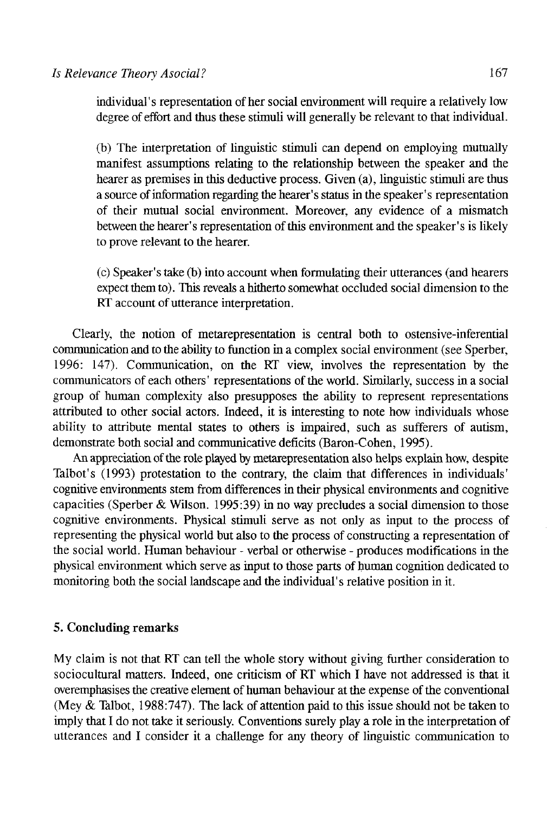individual 's representation of her social environment will require a relatively low degree of effort and thus these stimuli will generally be relevant to that individual.

(b) The interpretation of linguistic stimuli can depend on employing mutually manifest assumptions relating to the relationship between the speaker and the hearer as premises in this deductive process. Given (a), linguistic stimuli are thus a source of information regarding the hearer's status in the speaker's representation of their mutual social environment. Moreover, any evidence of a mismatch between the hearer's representation of this environment and the speaker's is likely to prove relevant to the hearer.

(c) Speaker's take (b) into account when formulating their utterances (and hearers expect them to). This reveals a hitherto somewhat occluded social dimension to the RT account of utterance interpretation.

Clearly, the notion of metarepresentation is central both to ostensive-inferential communication and to the ability to function in a complex social environment (see Sperber, 1996: 147). Communication, on the RT view, involves the representation by the communicators of each others' representations of the world. Sirnilarly, success in a social group of human complexity also presupposes the ability to represent representations attributed to other social actors. Indeed, it is interesting to note how individuáis whose ability to attribute mental states to others is impaired, such as sufferers of autism, demónstrate both social and communicative déficits (Baron-Cohen, 1995).

An appreciation of the role played by metarepresentation also helps explain how, despite Talbot's (1993) protestation to the contrary, the claim that differences in individuáis' cognitive environments stem from differences in their physical environments and cognitive capacities (Sperber & Wilson. 1995:39) in no way precludes a social dimension to those cognitive environments. Physical stimuli serve as not only as input to the process of representing the physical world but also to the process of constructing a representation of the social world. Human behaviour - verbal or otherwise - produces modifications in the physical environment which serve as input to those parts of human cognition dedicated to monitoring both the social landscape and the individual's relative position in it.

# 5. Concluding remarks

My claim is not that RT can tell the whole story without giving further consideration to sociocultural matters. Indeed, one criticism of RT which I have not addressed is that it overemphasises the creative element of human behaviour at the expense of the conventional (Mey & Talbot, 1988:747). The lack of attention paid to this issue should not be taken to imply that I do not take it seriously. Conventions surely play a role in the interpretation of utterances and I consider it a challenge for any theory of linguistic communication to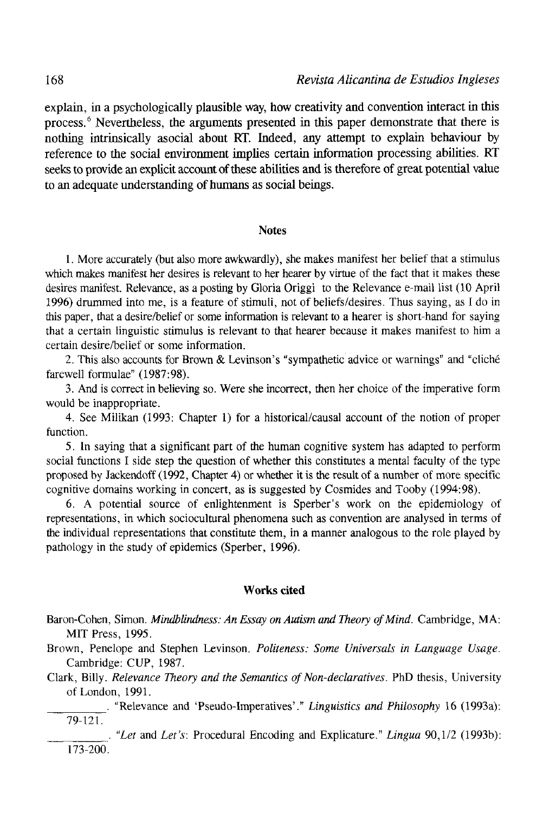explain, in a psychologically plausible way, how creativity and convenüon interact in this process.<sup>6</sup> Nevertheless, the arguments presented in this paper demonstrate that there is nothing intrinsically asocial about RT. Indeed, any attempt to explain behaviour by reference to the social environment impües certain information processing abilities. RT seeks to provide an explicit account of these abilities and is therefore of great potential valué to an adequate understanding of humans as social beings.

#### **Notes**

1. More accurately (but also more awkwardly), she makes manifest her belief that a stimulus which makes manifest her desires is relevant to her hearer by virtue of the fact that it makes these desires manifest. Relevance, as a posting by Gloria Origgi to the Relevance e-mail list (10 April 1996) drummed into me, is a feature of stimuli, not of beliefs/desires. Thus saying, as I do in this paper, that a desire/belief or some information is relevant to a hearer is short-hand for saying that a certain linguistic stimulus is relevant to that hearer because it makes manifest to him a certain desire/belief or some information.

2. This also accounts for Brown & Levinson's "sympathetic advice or warnings" and "cliché farewell formulae" (1987:98).

3. And is correct in believing so. Were she incorrect, then her choice of the imperative form would be inappropriate.

4. See Milikan (1993: Chapter 1) for a historical/causal account of the notion of proper function.

5. In saying that a significant part of the human cognitive system has adapted to perform social functions I side step the question of whether this constitutes a mental faculty of the type proposed by Jackendoff (1992, Chapter 4) or whether it is the result of a number of more specific cognitive domains working in concert, as is suggested by Cosmides and Tooby (1994:98).

6. A potential source of enlightenment is Sperber's work on the epidemiology of representations, in which sociocultural phenomena such as convention are analysed in terms of the individual representations that constitute them, in a manner analogous to the role played by pathology in the study of epidemics (Sperber, 1996).

#### **Works cited**

- Baron-Cohen, Simon. *Mindblindness: An Essay on Autism and Theory of Mind.* Cambridge, MA: MIT Press, 1995.
- Brown, Penelope and Stephen Levinson. *Politeness: Some Universals in Language Usage.*  Cambridge: CUP, 1987.
- Clark, Billy. *Relevance Theory and the Semantics of Non-declaratives.* PhD thesis, University of London, 1991.
	- . "Relevance and 'Pseudo-Imperatives'." *Linguistics and Philosophy* 16 (1993a): 79-121.

. *"Leí* and *Let's:* Procedural Encoding and Explicature." *Lingua* 90,1/2 (1993b): 173-200.